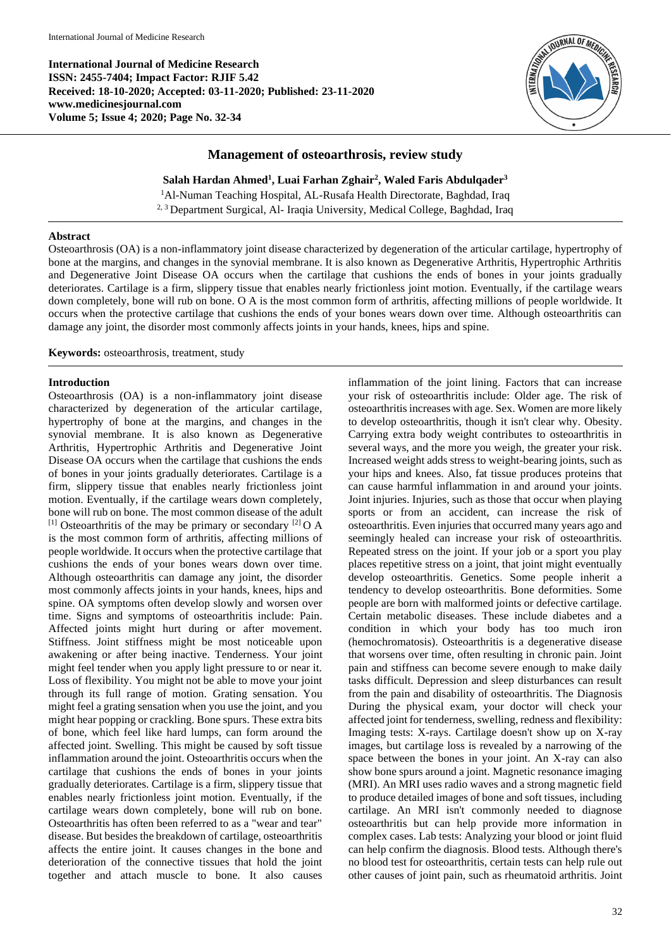**International Journal of Medicine Research ISSN: 2455-7404; Impact Factor: RJIF 5.42 Received: 18-10-2020; Accepted: 03-11-2020; Published: 23-11-2020 www.medicinesjournal.com Volume 5; Issue 4; 2020; Page No. 32-34**



# **Management of osteoarthrosis, review study**

**Salah Hardan Ahmed<sup>1</sup> , Luai Farhan Zghair<sup>2</sup> , Waled Faris Abdulqader<sup>3</sup>**

<sup>1</sup>Al-Numan Teaching Hospital, AL-Rusafa Health Directorate, Baghdad, Iraq <sup>2, 3</sup> Department Surgical, Al- Iraqia University, Medical College, Baghdad, Iraq

## **Abstract**

Osteoarthrosis (OA) is a non-inflammatory joint disease characterized by degeneration of the articular cartilage, hypertrophy of bone at the margins, and changes in the synovial membrane. It is also known as Degenerative Arthritis, Hypertrophic Arthritis and Degenerative Joint Disease OA occurs when the cartilage that cushions the ends of bones in your joints gradually deteriorates. Cartilage is a firm, slippery tissue that enables nearly frictionless joint motion. Eventually, if the cartilage wears down completely, bone will rub on bone. O A is the most common form of arthritis, affecting millions of people worldwide. It occurs when the protective cartilage that cushions the ends of your bones wears down over time. Although osteoarthritis can damage any joint, the disorder most commonly affects joints in your hands, knees, hips and spine.

**Keywords:** osteoarthrosis, treatment, study

## **Introduction**

Osteoarthrosis (OA) is a non-inflammatory joint disease characterized by degeneration of the articular cartilage, hypertrophy of bone at the margins, and changes in the synovial membrane. It is also known as Degenerative Arthritis, Hypertrophic Arthritis and Degenerative Joint Disease OA occurs when the cartilage that cushions the ends of bones in your joints gradually deteriorates. Cartilage is a firm, slippery tissue that enables nearly frictionless joint motion. Eventually, if the cartilage wears down completely, bone will rub on bone. The most common disease of the adult <sup>[1]</sup> Osteoarthritis of the may be primary or secondary <sup>[2]</sup> O A is the most common form of arthritis, affecting millions of people worldwide. It occurs when the protective cartilage that cushions the ends of your bones wears down over time. Although osteoarthritis can damage any joint, the disorder most commonly affects joints in your hands, knees, hips and spine. OA symptoms often develop slowly and worsen over time. Signs and symptoms of osteoarthritis include: Pain. Affected joints might hurt during or after movement. Stiffness. Joint stiffness might be most noticeable upon awakening or after being inactive. Tenderness. Your joint might feel tender when you apply light pressure to or near it. Loss of flexibility. You might not be able to move your joint through its full range of motion. Grating sensation. You might feel a grating sensation when you use the joint, and you might hear popping or crackling. Bone spurs. These extra bits of bone, which feel like hard lumps, can form around the affected joint. Swelling. This might be caused by soft tissue inflammation around the joint. Osteoarthritis occurs when the cartilage that cushions the ends of bones in your joints gradually deteriorates. Cartilage is a firm, slippery tissue that enables nearly frictionless joint motion. Eventually, if the cartilage wears down completely, bone will rub on bone. Osteoarthritis has often been referred to as a "wear and tear" disease. But besides the breakdown of cartilage, osteoarthritis affects the entire joint. It causes changes in the bone and deterioration of the connective tissues that hold the joint together and attach muscle to bone. It also causes

inflammation of the joint lining. Factors that can increase your risk of osteoarthritis include: Older age. The risk of osteoarthritis increases with age. Sex. Women are more likely to develop osteoarthritis, though it isn't clear why. Obesity. Carrying extra body weight contributes to osteoarthritis in several ways, and the more you weigh, the greater your risk. Increased weight adds stress to weight-bearing joints, such as your hips and knees. Also, fat tissue produces proteins that can cause harmful inflammation in and around your joints. Joint injuries. Injuries, such as those that occur when playing sports or from an accident, can increase the risk of osteoarthritis. Even injuries that occurred many years ago and seemingly healed can increase your risk of osteoarthritis. Repeated stress on the joint. If your job or a sport you play places repetitive stress on a joint, that joint might eventually develop osteoarthritis. Genetics. Some people inherit a tendency to develop osteoarthritis. Bone deformities. Some people are born with malformed joints or defective cartilage. Certain metabolic diseases. These include diabetes and a condition in which your body has too much iron (hemochromatosis). Osteoarthritis is a degenerative disease that worsens over time, often resulting in chronic pain. Joint pain and stiffness can become severe enough to make daily tasks difficult. Depression and sleep disturbances can result from the pain and disability of osteoarthritis. The Diagnosis During the physical exam, your doctor will check your affected joint for tenderness, swelling, redness and flexibility: Imaging tests: X-rays. Cartilage doesn't show up on X-ray images, but cartilage loss is revealed by a narrowing of the space between the bones in your joint. An X-ray can also show bone spurs around a joint. Magnetic resonance imaging (MRI). An MRI uses radio waves and a strong magnetic field to produce detailed images of bone and soft tissues, including cartilage. An MRI isn't commonly needed to diagnose osteoarthritis but can help provide more information in complex cases. Lab tests: Analyzing your blood or joint fluid can help confirm the diagnosis. Blood tests. Although there's no blood test for osteoarthritis, certain tests can help rule out other causes of joint pain, such as rheumatoid arthritis. Joint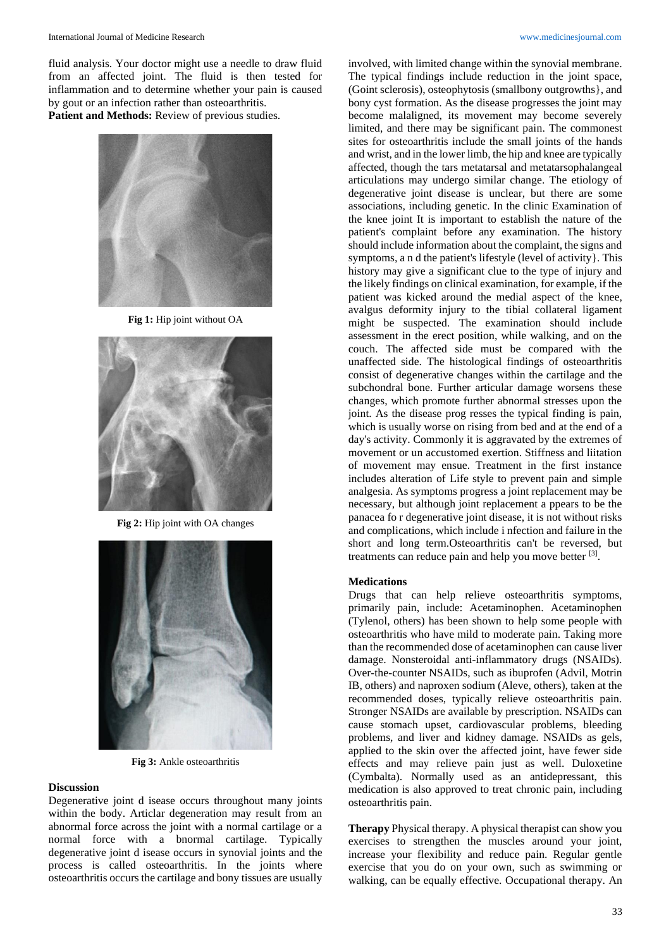fluid analysis. Your doctor might use a needle to draw fluid from an affected joint. The fluid is then tested for inflammation and to determine whether your pain is caused by gout or an infection rather than osteoarthritis.

**Patient and Methods:** Review of previous studies.



**Fig 1:** Hip joint without OA



**Fig 2:** Hip joint with OA changes



**Fig 3:** Ankle osteoarthritis

#### **Discussion**

Degenerative joint d isease occurs throughout many joints within the body. Articlar degeneration may result from an abnormal force across the joint with a normal cartilage or a normal force with a bnormal cartilage. Typically degenerative joint d isease occurs in synovial joints and the process is called osteoarthritis. In the joints where osteoarthritis occurs the cartilage and bony tissues are usually

involved, with limited change within the synovial membrane. The typical findings include reduction in the joint space, (Goint sclerosis), osteophytosis (smallbony outgrowths}, and bony cyst formation. As the disease progresses the joint may become malaligned, its movement may become severely limited, and there may be significant pain. The commonest sites for osteoarthritis include the small joints of the hands and wrist, and in the lower limb, the hip and knee are typically affected, though the tars metatarsal and metatarsophalangeal articulations may undergo similar change. The etiology of degenerative joint disease is unclear, but there are some associations, including genetic. In the clinic Examination of the knee joint It is important to establish the nature of the patient's complaint before any examination. The history should include information about the complaint, the signs and symptoms, a n d the patient's lifestyle (level of activity}. This history may give a significant clue to the type of injury and the likely findings on clinical examination, for example, if the patient was kicked around the medial aspect of the knee, avalgus deformity injury to the tibial collateral ligament might be suspected. The examination should include assessment in the erect position, while walking, and on the couch. The affected side must be compared with the unaffected side. The histological findings of osteoarthritis consist of degenerative changes within the cartilage and the subchondral bone. Further articular damage worsens these changes, which promote further abnormal stresses upon the joint. As the disease prog resses the typical finding is pain, which is usually worse on rising from bed and at the end of a day's activity. Commonly it is aggravated by the extremes of movement or un accustomed exertion. Stiffness and liitation of movement may ensue. Treatment in the first instance includes alteration of Life style to prevent pain and simple analgesia. As symptoms progress a joint replacement may be necessary, but although joint replacement a ppears to be the panacea fo r degenerative joint disease, it is not without risks and complications, which include i nfection and failure in the short and long term.Osteoarthritis can't be reversed, but treatments can reduce pain and help you move better [3].

#### **Medications**

Drugs that can help relieve osteoarthritis symptoms, primarily pain, include: Acetaminophen. Acetaminophen (Tylenol, others) has been shown to help some people with osteoarthritis who have mild to moderate pain. Taking more than the recommended dose of acetaminophen can cause liver damage. Nonsteroidal anti-inflammatory drugs (NSAIDs). Over-the-counter NSAIDs, such as ibuprofen (Advil, Motrin IB, others) and naproxen sodium (Aleve, others), taken at the recommended doses, typically relieve osteoarthritis pain. Stronger NSAIDs are available by prescription. NSAIDs can cause stomach upset, cardiovascular problems, bleeding problems, and liver and kidney damage. NSAIDs as gels, applied to the skin over the affected joint, have fewer side effects and may relieve pain just as well. Duloxetine (Cymbalta). Normally used as an antidepressant, this medication is also approved to treat chronic pain, including osteoarthritis pain.

**Therapy** Physical therapy. A physical therapist can show you exercises to strengthen the muscles around your joint, increase your flexibility and reduce pain. Regular gentle exercise that you do on your own, such as swimming or walking, can be equally effective. Occupational therapy. An